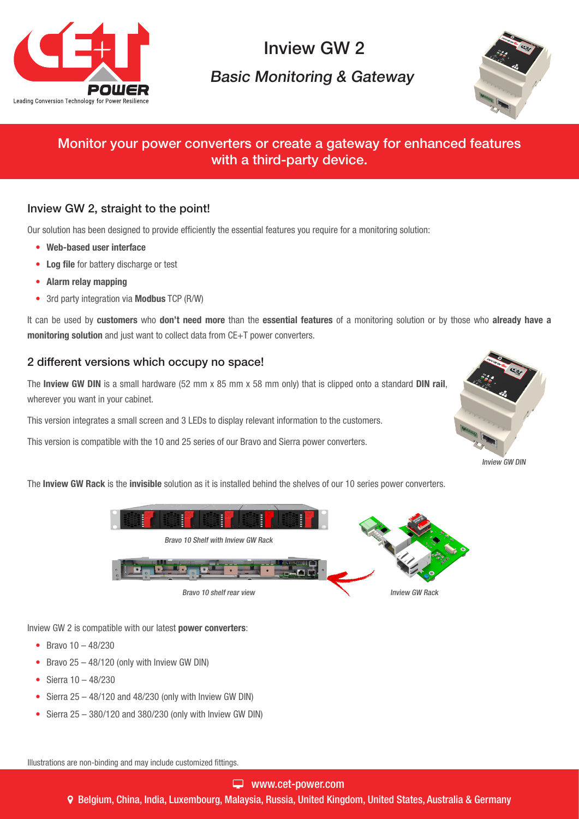

# Inview GW 2

## Basic Monitoring & Gateway



## Monitor your power converters or create a gateway for enhanced features with a third-party device.

#### Inview GW 2, straight to the point!

Our solution has been designed to provide efficiently the essential features you require for a monitoring solution:

- Web-based user interface
- Log file for battery discharge or test
- Alarm relay mapping
- 3rd party integration via **Modbus** TCP (R/W)

It can be used by customers who don't need more than the essential features of a monitoring solution or by those who already have a monitoring solution and just want to collect data from CE+T power converters.

#### 2 different versions which occupy no space!

The Inview GW DIN is a small hardware (52 mm x 85 mm x 58 mm only) that is clipped onto a standard DIN rail, wherever you want in your cabinet.

This version integrates a small screen and 3 LEDs to display relevant information to the customers.

This version is compatible with the 10 and 25 series of our Bravo and Sierra power converters.



The Inview GW Rack is the invisible solution as it is installed behind the shelves of our 10 series power converters.



Inview GW 2 is compatible with our latest power converters:

- Bravo  $10 48/230$
- Bravo  $25 48/120$  (only with Inview GW DIN)
- Sierra 10 48/230
- Sierra  $25 48/120$  and  $48/230$  (only with Inview GW DIN)
- Sierra 25 380/120 and 380/230 (only with Inview GW DIN)

Illustrations are non-binding and may include customized fittings.

#### www.cet-power.com

Belgium, China, India, Luxembourg, Malaysia, Russia, United Kingdom, United States, Australia & Germany